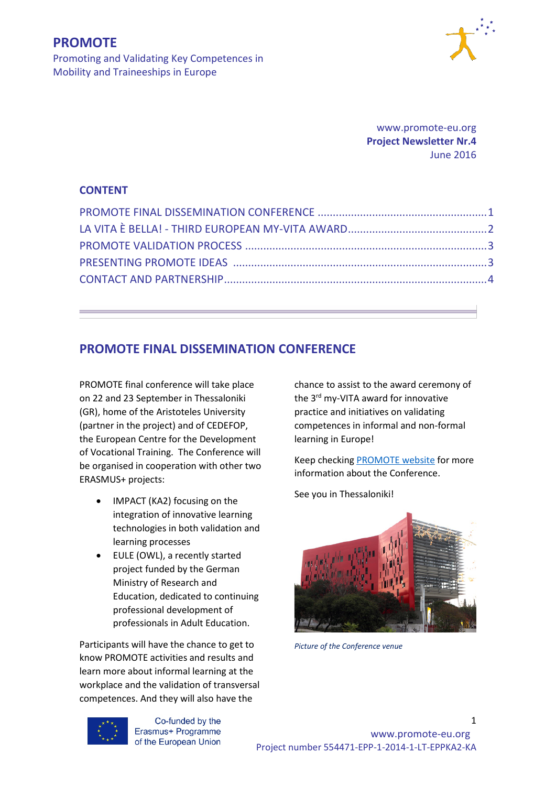

Promoting and Validating Key Competences in Mobility and Traineeships in Europe

> www.promote-eu.org **Project Newsletter Nr.4** June 2016

#### **CONTENT**

#### **PROMOTE FINAL DISSEMINATION CONFERENCE**

PROMOTE final conference will take place on 22 and 23 September in Thessaloniki (GR), home of the Aristoteles University (partner in the project) and of CEDEFOP, the European Centre for the Development of Vocational Training. The Conference will be organised in cooperation with other two ERASMUS+ projects:

- IMPACT (KA2) focusing on the integration of innovative learning technologies in both validation and learning processes
- EULE (OWL), a recently started project funded by the German Ministry of Research and Education, dedicated to continuing professional development of professionals in Adult Education.

Participants will have the chance to get to know PROMOTE activities and results and learn more about informal learning at the workplace and the validation of transversal competences. And they will also have the

chance to assist to the award ceremony of the 3<sup>rd</sup> my-VITA award for innovative practice and initiatives on validating competences in informal and non-formal learning in Europe!

Keep checking [PROMOTE website](http://promote-eu.org/) for more information about the Conference.

See you in Thessaloniki!



*Picture of the Conference venue* 



Co-funded by the

1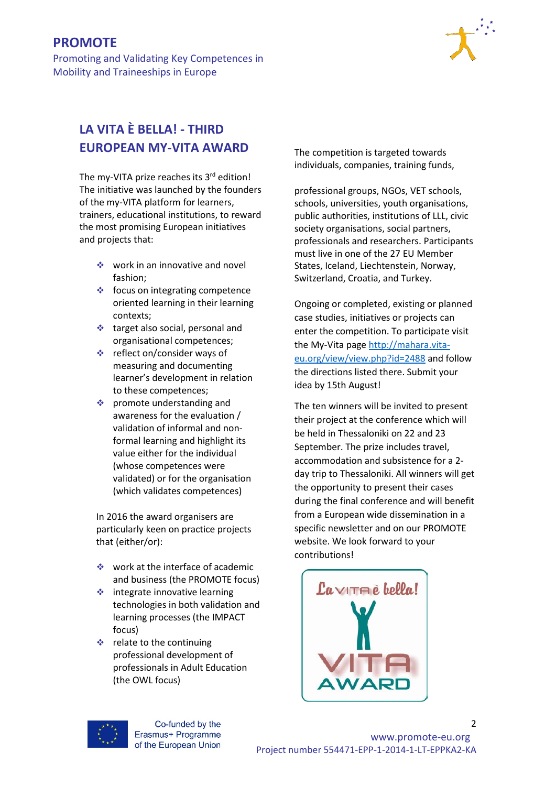Promoting and Validating Key Competences in Mobility and Traineeships in Europe



# **LA VITA È BELLA! - THIRD EUROPEAN MY-VITA AWARD**

The my-VITA prize reaches its 3rd edition! The initiative was launched by the founders of the my-VITA platform for learners, trainers, educational institutions, to reward the most promising European initiatives and projects that:

- work in an innovative and novel fashion;
- $\triangleleft$  focus on integrating competence oriented learning in their learning contexts;
- $\triangleleft$  target also social, personal and organisational competences;
- reflect on/consider ways of measuring and documenting learner's development in relation to these competences;
- $\triangleq$  promote understanding and awareness for the evaluation / validation of informal and nonformal learning and highlight its value either for the individual (whose competences were validated) or for the organisation (which validates competences)

In 2016 the award organisers are particularly keen on practice projects that (either/or):

- $\div$  work at the interface of academic and business (the PROMOTE focus)
- $\div$  integrate innovative learning technologies in both validation and learning processes (the IMPACT focus)
- $\div$  relate to the continuing professional development of professionals in Adult Education (the OWL focus)

The competition is targeted towards individuals, companies, training funds,

professional groups, NGOs, VET schools, schools, universities, youth organisations, public authorities, institutions of LLL, civic society organisations, social partners, professionals and researchers. Participants must live in one of the 27 EU Member States, Iceland, Liechtenstein, Norway, Switzerland, Croatia, and Turkey.

Ongoing or completed, existing or planned case studies, initiatives or projects can enter the competition. To participate visit the My-Vita page [http://mahara.vita](http://mahara.vita-eu.org/view/view.php?id=2488)[eu.org/view/view.php?id=2488](http://mahara.vita-eu.org/view/view.php?id=2488) and follow the directions listed there. Submit your idea by 15th August!

The ten winners will be invited to present their project at the conference which will be held in Thessaloniki on 22 and 23 September. The prize includes travel, accommodation and subsistence for a 2 day trip to Thessaloniki. All winners will get the opportunity to present their cases during the final conference and will benefit from a European wide dissemination in a specific newsletter and on our PROMOTE website. We look forward to your contributions!



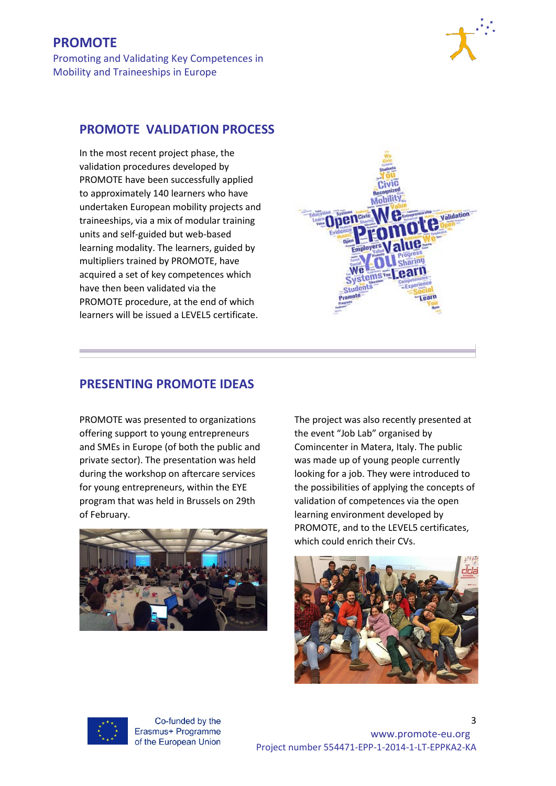Promoting and Validating Key Competences in Mobility and Traineeships in Europe



#### **[PROMOTE](http://promote-eu.org/smpf/) VALIDATION PROCESS**

In the most recent project phase, the validation procedures developed by PROMOTE have been successfully applied to approximately 140 learners who have undertaken European mobility projects and traineeships, via a mix of modular training units and self-guided but web-based learning modality. The learners, guided by multipliers trained by PROMOTE, have acquired a set of key competences which have then been validated via the PROMOTE procedure, at the end of which learners will be issued a LEVEL5 certificate.



### **PRESENTING PROMOTE IDEAS**

PROMOTE was presented to organizations offering support to young entrepreneurs and SMEs in Europe (of both the public and private sector). The presentation was held during the workshop on aftercare services for young entrepreneurs, within the EYE program that was held in Brussels on 29th of February.



The project was also recently presented at the event "Job Lab" organised by Comincenter in Matera, Italy. The public was made up of young people currently looking for a job. They were introduced to the possibilities of applying the concepts of validation of competences via the open learning environment developed by PROMOTE, and to the LEVEL5 certificates, which could enrich their CVs.





Co-funded by the